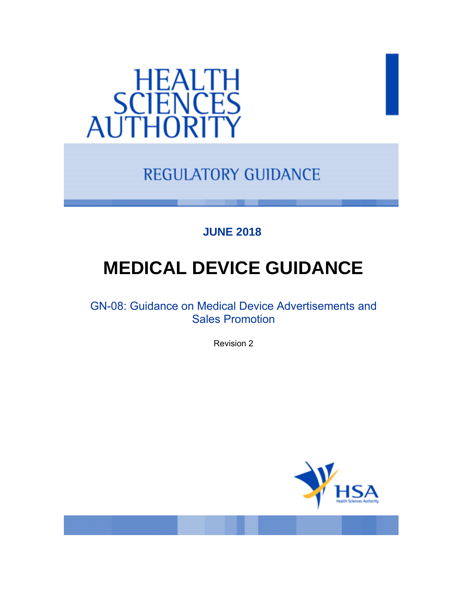

**REGULATORY GUIDANCE** 

# **JUNE 2018**

# **MEDICAL DEVICE GUIDANCE**

GN-08: Guidance on Medical Device Advertisements and Sales Promotion

Revision 2

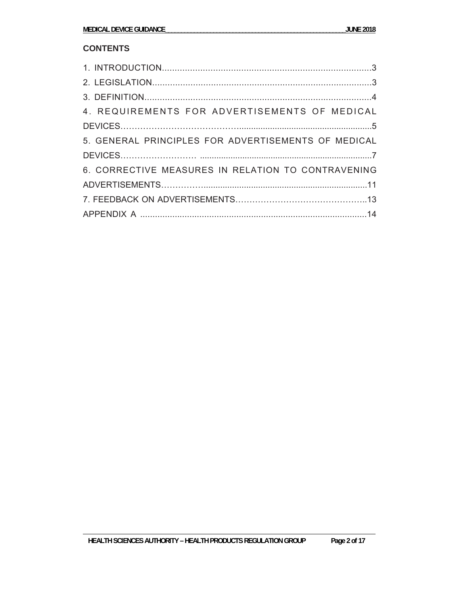#### **CONTENTS**

| 4. REQUIREMENTS FOR ADVERTISEMENTS OF MEDICAL       |
|-----------------------------------------------------|
|                                                     |
| 5. GENERAL PRINCIPLES FOR ADVERTISEMENTS OF MEDICAL |
|                                                     |
| 6. CORRECTIVE MEASURES IN RELATION TO CONTRAVENING  |
|                                                     |
|                                                     |
|                                                     |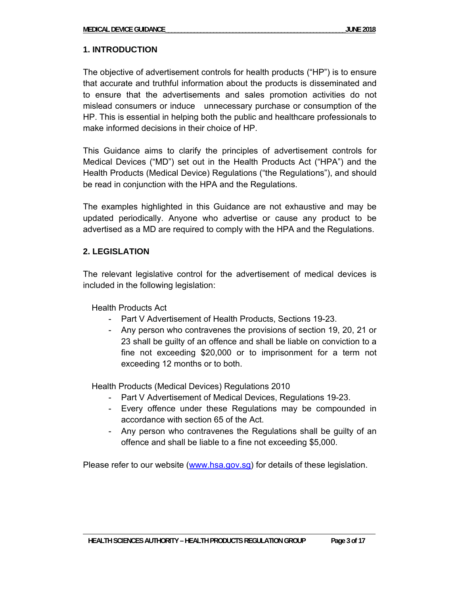# **1. INTRODUCTION**

The objective of advertisement controls for health products ("HP") is to ensure that accurate and truthful information about the products is disseminated and to ensure that the advertisements and sales promotion activities do not mislead consumers or induce unnecessary purchase or consumption of the HP. This is essential in helping both the public and healthcare professionals to make informed decisions in their choice of HP.

This Guidance aims to clarify the principles of advertisement controls for Medical Devices ("MD") set out in the Health Products Act ("HPA") and the Health Products (Medical Device) Regulations ("the Regulations"), and should be read in conjunction with the HPA and the Regulations.

The examples highlighted in this Guidance are not exhaustive and may be updated periodically. Anyone who advertise or cause any product to be advertised as a MD are required to comply with the HPA and the Regulations.

## **2. LEGISLATION**

The relevant legislative control for the advertisement of medical devices is included in the following legislation:

Health Products Act

- Part V Advertisement of Health Products, Sections 19-23.
- Any person who contravenes the provisions of section 19, 20, 21 or 23 shall be guilty of an offence and shall be liable on conviction to a fine not exceeding \$20,000 or to imprisonment for a term not exceeding 12 months or to both.

Health Products (Medical Devices) Regulations 2010

- Part V Advertisement of Medical Devices, Regulations 19-23.
- Every offence under these Regulations may be compounded in accordance with section 65 of the Act.
- Any person who contravenes the Regulations shall be guilty of an offence and shall be liable to a fine not exceeding \$5,000.

Please refer to our website (www.hsa.gov.sg) for details of these legislation.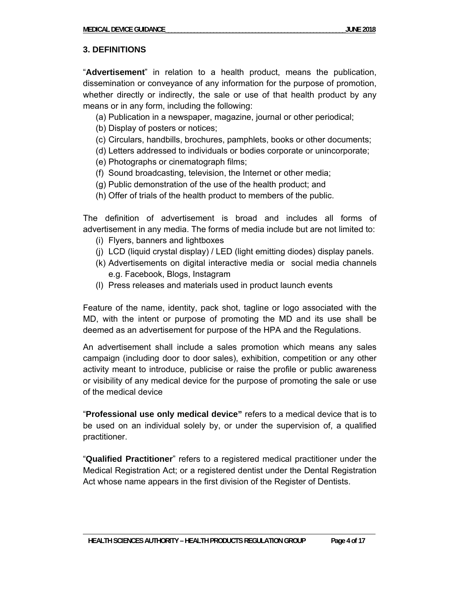# **3. DEFINITIONS**

"**Advertisement**" in relation to a health product, means the publication, dissemination or conveyance of any information for the purpose of promotion, whether directly or indirectly, the sale or use of that health product by any means or in any form, including the following:

(a) Publication in a newspaper, magazine, journal or other periodical;

(b) Display of posters or notices;

- (c) Circulars, handbills, brochures, pamphlets, books or other documents;
- (d) Letters addressed to individuals or bodies corporate or unincorporate;
- (e) Photographs or cinematograph films;
- (f) Sound broadcasting, television, the Internet or other media;
- (g) Public demonstration of the use of the health product; and
- (h) Offer of trials of the health product to members of the public.

The definition of advertisement is broad and includes all forms of advertisement in any media. The forms of media include but are not limited to:

- (i) Flyers, banners and lightboxes
- (j) LCD (liquid crystal display) / LED (light emitting diodes) display panels.
- (k) Advertisements on digital interactive media or social media channels e.g. Facebook, Blogs, Instagram
- (l) Press releases and materials used in product launch events

Feature of the name, identity, pack shot, tagline or logo associated with the MD, with the intent or purpose of promoting the MD and its use shall be deemed as an advertisement for purpose of the HPA and the Regulations.

An advertisement shall include a sales promotion which means any sales campaign (including door to door sales), exhibition, competition or any other activity meant to introduce, publicise or raise the profile or public awareness or visibility of any medical device for the purpose of promoting the sale or use of the medical device

"**Professional use only medical device"** refers to a medical device that is to be used on an individual solely by, or under the supervision of, a qualified practitioner.

"**Qualified Practitioner**" refers to a registered medical practitioner under the Medical Registration Act; or a registered dentist under the Dental Registration Act whose name appears in the first division of the Register of Dentists.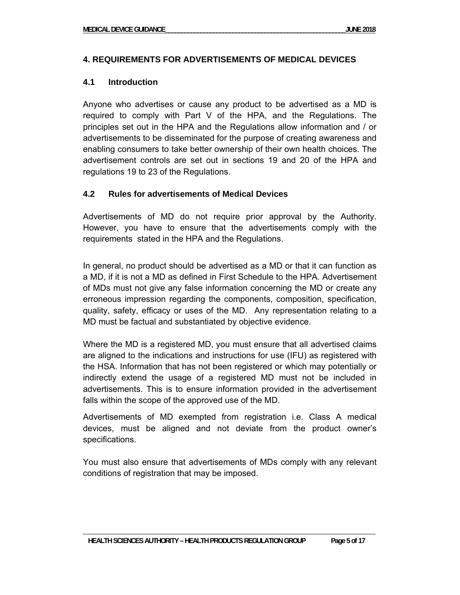#### **4. REQUIREMENTS FOR ADVERTISEMENTS OF MEDICAL DEVICES**

#### **4.1 Introduction**

Anyone who advertises or cause any product to be advertised as a MD is required to comply with Part V of the HPA, and the Regulations. The principles set out in the HPA and the Regulations allow information and / or advertisements to be disseminated for the purpose of creating awareness and enabling consumers to take better ownership of their own health choices. The advertisement controls are set out in sections 19 and 20 of the HPA and regulations 19 to 23 of the Regulations.

#### **4.2 Rules for advertisements of Medical Devices**

Advertisements of MD do not require prior approval by the Authority. However, you have to ensure that the advertisements comply with the requirements stated in the HPA and the Regulations.

In general, no product should be advertised as a MD or that it can function as a MD, if it is not a MD as defined in First Schedule to the HPA. Advertisement of MDs must not give any false information concerning the MD or create any erroneous impression regarding the components, composition, specification, quality, safety, efficacy or uses of the MD. Any representation relating to a MD must be factual and substantiated by objective evidence.

Where the MD is a registered MD, you must ensure that all advertised claims are aligned to the indications and instructions for use (IFU) as registered with the HSA. Information that has not been registered or which may potentially or indirectly extend the usage of a registered MD must not be included in advertisements. This is to ensure information provided in the advertisement falls within the scope of the approved use of the MD.

Advertisements of MD exempted from registration i.e. Class A medical devices, must be aligned and not deviate from the product owner's specifications.

You must also ensure that advertisements of MDs comply with any relevant conditions of registration that may be imposed.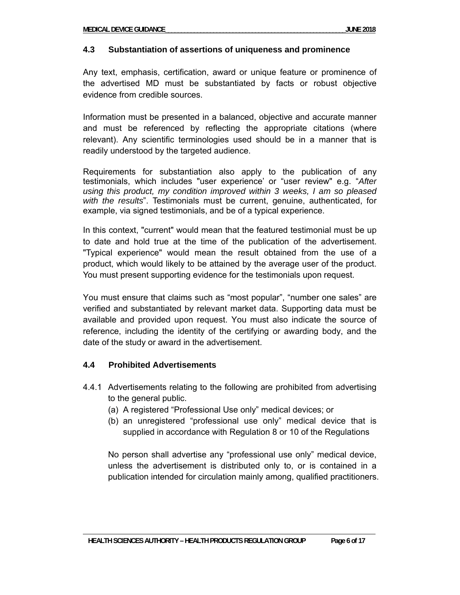#### **4.3 Substantiation of assertions of uniqueness and prominence**

Any text, emphasis, certification, award or unique feature or prominence of the advertised MD must be substantiated by facts or robust objective evidence from credible sources.

Information must be presented in a balanced, objective and accurate manner and must be referenced by reflecting the appropriate citations (where relevant). Any scientific terminologies used should be in a manner that is readily understood by the targeted audience.

Requirements for substantiation also apply to the publication of any testimonials, which includes "user experience' or "user review" e.g. "*After using this product, my condition improved within 3 weeks, I am so pleased with the results*". Testimonials must be current, genuine, authenticated, for example, via signed testimonials, and be of a typical experience.

In this context, "current" would mean that the featured testimonial must be up to date and hold true at the time of the publication of the advertisement. "Typical experience" would mean the result obtained from the use of a product, which would likely to be attained by the average user of the product. You must present supporting evidence for the testimonials upon request.

You must ensure that claims such as "most popular", "number one sales" are verified and substantiated by relevant market data. Supporting data must be available and provided upon request. You must also indicate the source of reference, including the identity of the certifying or awarding body, and the date of the study or award in the advertisement.

## **4.4 Prohibited Advertisements**

- 4.4.1 Advertisements relating to the following are prohibited from advertising to the general public.
	- (a) A registered "Professional Use only" medical devices; or
	- (b) an unregistered "professional use only" medical device that is supplied in accordance with Regulation 8 or 10 of the Regulations

No person shall advertise any "professional use only" medical device, unless the advertisement is distributed only to, or is contained in a publication intended for circulation mainly among, qualified practitioners.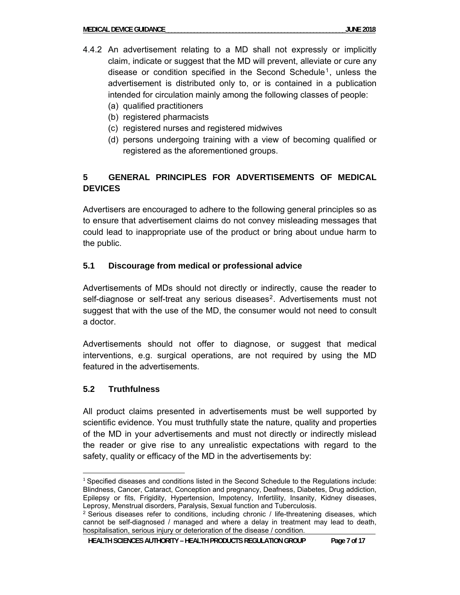- 4.4.2 An advertisement relating to a MD shall not expressly or implicitly claim, indicate or suggest that the MD will prevent, alleviate or cure any disease or condition specified in the Second Schedule1, unless the advertisement is distributed only to, or is contained in a publication intended for circulation mainly among the following classes of people:
	- (a) qualified practitioners
	- (b) registered pharmacists
	- (c) registered nurses and registered midwives
	- (d) persons undergoing training with a view of becoming qualified or registered as the aforementioned groups.

# **5 GENERAL PRINCIPLES FOR ADVERTISEMENTS OF MEDICAL DEVICES**

Advertisers are encouraged to adhere to the following general principles so as to ensure that advertisement claims do not convey misleading messages that could lead to inappropriate use of the product or bring about undue harm to the public.

## **5.1 Discourage from medical or professional advice**

Advertisements of MDs should not directly or indirectly, cause the reader to self-diagnose or self-treat any serious diseases<sup>2</sup>. Advertisements must not suggest that with the use of the MD, the consumer would not need to consult a doctor.

Advertisements should not offer to diagnose, or suggest that medical interventions, e.g. surgical operations, are not required by using the MD featured in the advertisements.

## **5.2 Truthfulness**

 $\overline{a}$ 

All product claims presented in advertisements must be well supported by scientific evidence. You must truthfully state the nature, quality and properties of the MD in your advertisements and must not directly or indirectly mislead the reader or give rise to any unrealistic expectations with regard to the safety, quality or efficacy of the MD in the advertisements by:

<sup>&</sup>lt;sup>1</sup> Specified diseases and conditions listed in the Second Schedule to the Regulations include: Blindness, Cancer, Cataract, Conception and pregnancy, Deafness, Diabetes, Drug addiction, Epilepsy or fits, Frigidity, Hypertension, Impotency, Infertility, Insanity, Kidney diseases, Leprosy, Menstrual disorders, Paralysis, Sexual function and Tuberculosis.

<sup>&</sup>lt;sup>2</sup> Serious diseases refer to conditions, including chronic / life-threatening diseases, which cannot be self-diagnosed / managed and where a delay in treatment may lead to death, hospitalisation, serious injury or deterioration of the disease / condition.

**HEALTH SCIENCES AUTHORITY – HEALTH PRODUCTS REGULATION GROUP Page 7 of 17**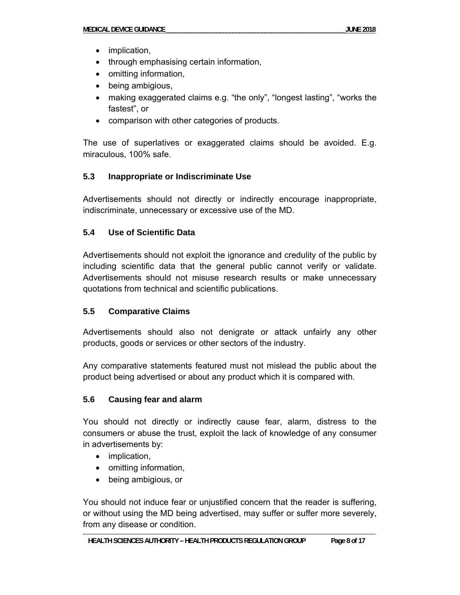- implication,
- through emphasising certain information,
- omitting information,
- being ambigious,
- making exaggerated claims e.g. "the only", "longest lasting", "works the fastest", or
- comparison with other categories of products.

The use of superlatives or exaggerated claims should be avoided. E.g. miraculous, 100% safe.

# **5.3 Inappropriate or Indiscriminate Use**

Advertisements should not directly or indirectly encourage inappropriate, indiscriminate, unnecessary or excessive use of the MD.

## **5.4 Use of Scientific Data**

Advertisements should not exploit the ignorance and credulity of the public by including scientific data that the general public cannot verify or validate. Advertisements should not misuse research results or make unnecessary quotations from technical and scientific publications.

## **5.5 Comparative Claims**

Advertisements should also not denigrate or attack unfairly any other products, goods or services or other sectors of the industry.

Any comparative statements featured must not mislead the public about the product being advertised or about any product which it is compared with.

## **5.6 Causing fear and alarm**

You should not directly or indirectly cause fear, alarm, distress to the consumers or abuse the trust, exploit the lack of knowledge of any consumer in advertisements by:

- implication,
- omitting information,
- being ambigious, or

You should not induce fear or unjustified concern that the reader is suffering, or without using the MD being advertised, may suffer or suffer more severely, from any disease or condition.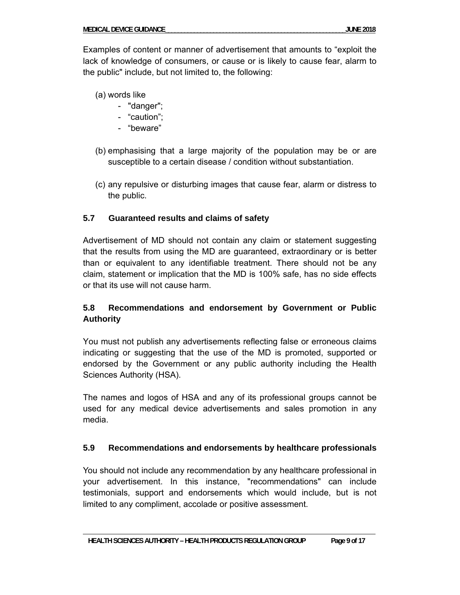Examples of content or manner of advertisement that amounts to "exploit the lack of knowledge of consumers, or cause or is likely to cause fear, alarm to the public" include, but not limited to, the following:

- (a) words like
	- "danger";
	- "caution";
	- "beware"
- (b) emphasising that a large majority of the population may be or are susceptible to a certain disease / condition without substantiation.
- (c) any repulsive or disturbing images that cause fear, alarm or distress to the public.

## **5.7 Guaranteed results and claims of safety**

Advertisement of MD should not contain any claim or statement suggesting that the results from using the MD are guaranteed, extraordinary or is better than or equivalent to any identifiable treatment. There should not be any claim, statement or implication that the MD is 100% safe, has no side effects or that its use will not cause harm.

## **5.8 Recommendations and endorsement by Government or Public Authority**

You must not publish any advertisements reflecting false or erroneous claims indicating or suggesting that the use of the MD is promoted, supported or endorsed by the Government or any public authority including the Health Sciences Authority (HSA).

The names and logos of HSA and any of its professional groups cannot be used for any medical device advertisements and sales promotion in any media.

#### **5.9 Recommendations and endorsements by healthcare professionals**

You should not include any recommendation by any healthcare professional in your advertisement. In this instance, "recommendations" can include testimonials, support and endorsements which would include, but is not limited to any compliment, accolade or positive assessment.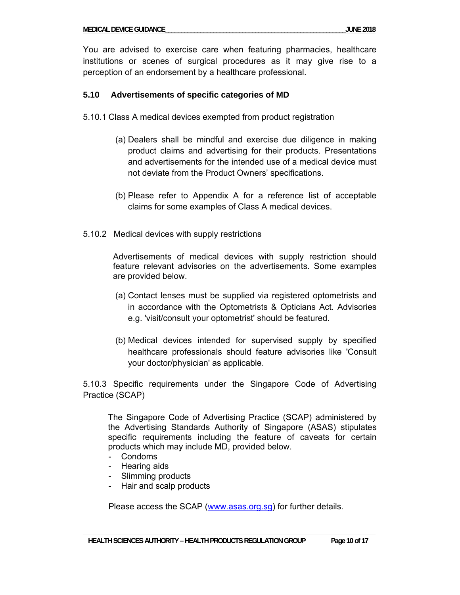You are advised to exercise care when featuring pharmacies, healthcare institutions or scenes of surgical procedures as it may give rise to a perception of an endorsement by a healthcare professional.

#### **5.10 Advertisements of specific categories of MD**

- 5.10.1 Class A medical devices exempted from product registration
	- (a) Dealers shall be mindful and exercise due diligence in making product claims and advertising for their products. Presentations and advertisements for the intended use of a medical device must not deviate from the Product Owners' specifications.
	- (b) Please refer to Appendix A for a reference list of acceptable claims for some examples of Class A medical devices.
- 5.10.2 Medical devices with supply restrictions

Advertisements of medical devices with supply restriction should feature relevant advisories on the advertisements. Some examples are provided below.

- (a) Contact lenses must be supplied via registered optometrists and in accordance with the Optometrists & Opticians Act. Advisories e.g. 'visit/consult your optometrist' should be featured.
- (b) Medical devices intended for supervised supply by specified healthcare professionals should feature advisories like 'Consult your doctor/physician' as applicable.

5.10.3 Specific requirements under the Singapore Code of Advertising Practice (SCAP)

The Singapore Code of Advertising Practice (SCAP) administered by the Advertising Standards Authority of Singapore (ASAS) stipulates specific requirements including the feature of caveats for certain products which may include MD, provided below.

- Condoms
- Hearing aids
- Slimming products
- Hair and scalp products

Please access the SCAP (www.asas.org.sg) for further details.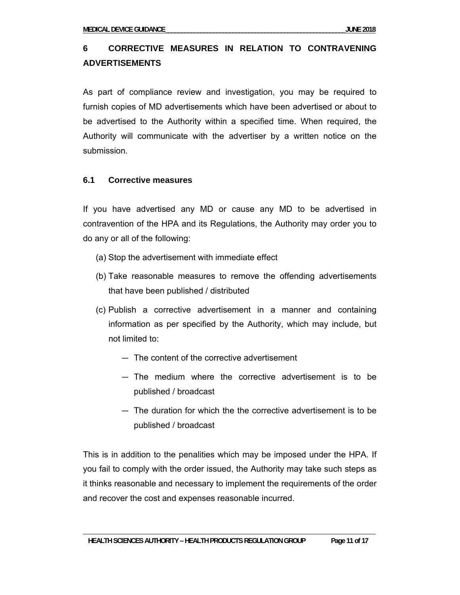# **6 CORRECTIVE MEASURES IN RELATION TO CONTRAVENING ADVERTISEMENTS**

As part of compliance review and investigation, you may be required to furnish copies of MD advertisements which have been advertised or about to be advertised to the Authority within a specified time. When required, the Authority will communicate with the advertiser by a written notice on the submission.

## **6.1 Corrective measures**

If you have advertised any MD or cause any MD to be advertised in contravention of the HPA and its Regulations, the Authority may order you to do any or all of the following:

- (a) Stop the advertisement with immediate effect
- (b) Take reasonable measures to remove the offending advertisements that have been published / distributed
- (c) Publish a corrective advertisement in a manner and containing information as per specified by the Authority, which may include, but not limited to:
	- The content of the corrective advertisement
	- The medium where the corrective advertisement is to be published / broadcast
	- The duration for which the the corrective advertisement is to be published / broadcast

This is in addition to the penalities which may be imposed under the HPA. If you fail to comply with the order issued, the Authority may take such steps as it thinks reasonable and necessary to implement the requirements of the order and recover the cost and expenses reasonable incurred.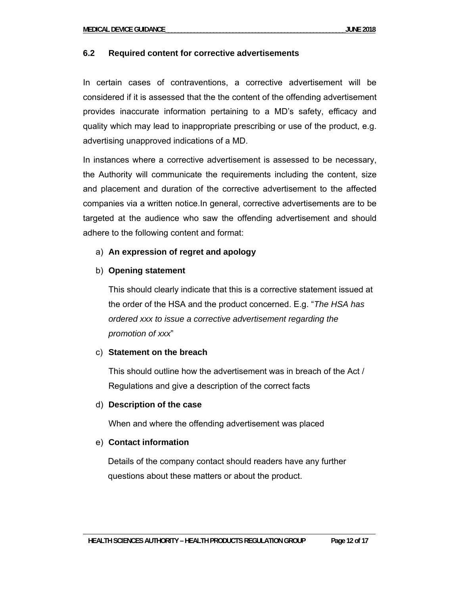#### **6.2 Required content for corrective advertisements**

In certain cases of contraventions, a corrective advertisement will be considered if it is assessed that the the content of the offending advertisement provides inaccurate information pertaining to a MD's safety, efficacy and quality which may lead to inappropriate prescribing or use of the product, e.g. advertising unapproved indications of a MD.

In instances where a corrective advertisement is assessed to be necessary, the Authority will communicate the requirements including the content, size and placement and duration of the corrective advertisement to the affected companies via a written notice.In general, corrective advertisements are to be targeted at the audience who saw the offending advertisement and should adhere to the following content and format:

#### a) **An expression of regret and apology**

#### b) **Opening statement**

This should clearly indicate that this is a corrective statement issued at the order of the HSA and the product concerned. E.g. "*The HSA has ordered xxx to issue a corrective advertisement regarding the promotion of xxx*"

#### c) **Statement on the breach**

This should outline how the advertisement was in breach of the Act / Regulations and give a description of the correct facts

## d) **Description of the case**

When and where the offending advertisement was placed

## e) **Contact information**

Details of the company contact should readers have any further questions about these matters or about the product.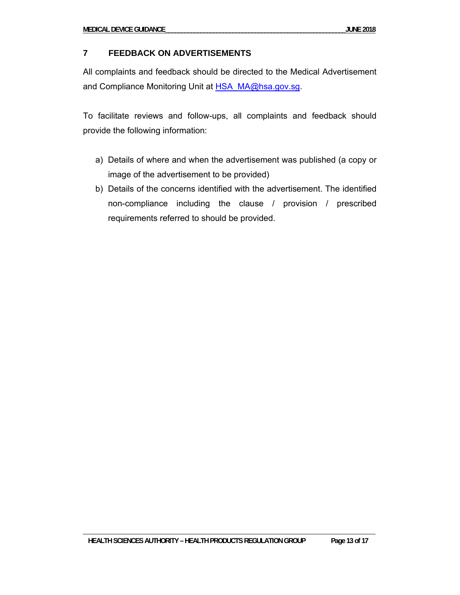## **7 FEEDBACK ON ADVERTISEMENTS**

All complaints and feedback should be directed to the Medical Advertisement and Compliance Monitoring Unit at HSA MA@hsa.gov.sg.

To facilitate reviews and follow-ups, all complaints and feedback should provide the following information:

- a) Details of where and when the advertisement was published (a copy or image of the advertisement to be provided)
- b) Details of the concerns identified with the advertisement. The identified non-compliance including the clause / provision / prescribed requirements referred to should be provided.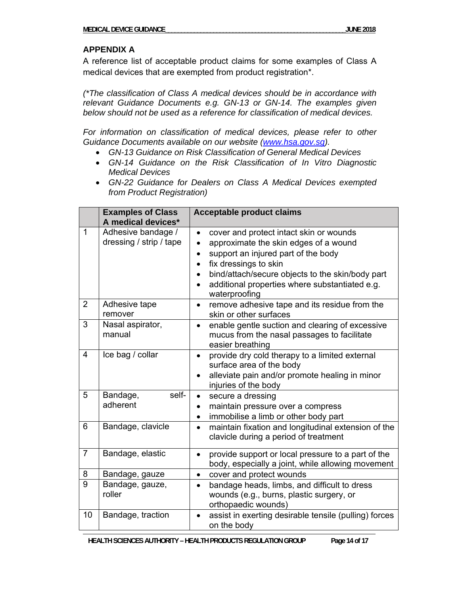#### **APPENDIX A**

A reference list of acceptable product claims for some examples of Class A medical devices that are exempted from product registration\*.

*(\*The classification of Class A medical devices should be in accordance with relevant Guidance Documents e.g. GN-13 or GN-14. The examples given below should not be used as a reference for classification of medical devices.* 

*For information on classification of medical devices, please refer to other Guidance Documents available on our website (www.hsa.gov.sg).* 

- *GN-13 Guidance on Risk Classification of General Medical Devices*
- *GN-14 Guidance on the Risk Classification of In Vitro Diagnostic Medical Devices*
- *GN-22 Guidance for Dealers on Class A Medical Devices exempted from Product Registration)*

|                | <b>Examples of Class</b><br>A medical devices* | <b>Acceptable product claims</b>                                                                                                                                                                                                                                                                                                                      |
|----------------|------------------------------------------------|-------------------------------------------------------------------------------------------------------------------------------------------------------------------------------------------------------------------------------------------------------------------------------------------------------------------------------------------------------|
| $\mathbf 1$    | Adhesive bandage /<br>dressing / strip / tape  | cover and protect intact skin or wounds<br>$\bullet$<br>approximate the skin edges of a wound<br>$\bullet$<br>support an injured part of the body<br>$\bullet$<br>fix dressings to skin<br>$\bullet$<br>bind/attach/secure objects to the skin/body part<br>$\bullet$<br>additional properties where substantiated e.g.<br>$\bullet$<br>waterproofing |
| $\overline{2}$ | Adhesive tape<br>remover                       | remove adhesive tape and its residue from the<br>$\bullet$<br>skin or other surfaces                                                                                                                                                                                                                                                                  |
| 3              | Nasal aspirator,<br>manual                     | enable gentle suction and clearing of excessive<br>$\bullet$<br>mucus from the nasal passages to facilitate<br>easier breathing                                                                                                                                                                                                                       |
| $\overline{4}$ | Ice bag / collar                               | provide dry cold therapy to a limited external<br>$\bullet$<br>surface area of the body<br>alleviate pain and/or promote healing in minor<br>$\bullet$<br>injuries of the body                                                                                                                                                                        |
| 5              | self-<br>Bandage,<br>adherent                  | secure a dressing<br>$\bullet$<br>maintain pressure over a compress<br>$\bullet$<br>immobilise a limb or other body part<br>$\bullet$                                                                                                                                                                                                                 |
| 6              | Bandage, clavicle                              | maintain fixation and longitudinal extension of the<br>$\bullet$<br>clavicle during a period of treatment                                                                                                                                                                                                                                             |
| $\overline{7}$ | Bandage, elastic                               | provide support or local pressure to a part of the<br>$\bullet$<br>body, especially a joint, while allowing movement                                                                                                                                                                                                                                  |
| 8              | Bandage, gauze                                 | cover and protect wounds<br>$\bullet$                                                                                                                                                                                                                                                                                                                 |
| 9              | Bandage, gauze,<br>roller                      | bandage heads, limbs, and difficult to dress<br>$\bullet$<br>wounds (e.g., burns, plastic surgery, or<br>orthopaedic wounds)                                                                                                                                                                                                                          |
| 10             | Bandage, traction                              | assist in exerting desirable tensile (pulling) forces<br>on the body                                                                                                                                                                                                                                                                                  |

HEALTH SCIENCES AUTHORITY - HEALTH PRODUCTS REGULATION GROUP Page 14 of 17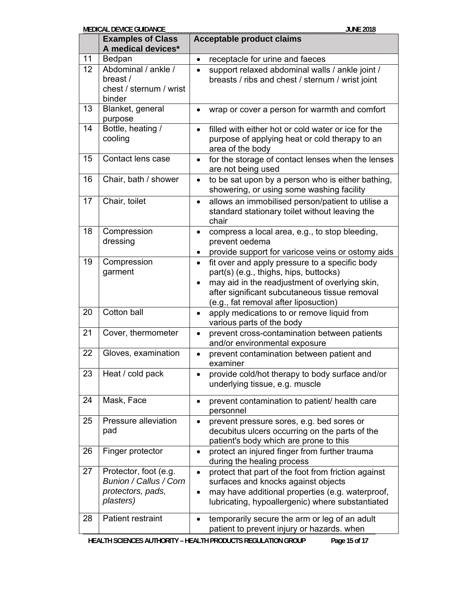| <b>MEDICAL DEVICE GUIDANCE</b><br><b>JUNE 2018</b> |                                                                                          |                                                                                                                                                                                                                                                   |  |  |
|----------------------------------------------------|------------------------------------------------------------------------------------------|---------------------------------------------------------------------------------------------------------------------------------------------------------------------------------------------------------------------------------------------------|--|--|
|                                                    | <b>Examples of Class</b><br>A medical devices*                                           | <b>Acceptable product claims</b>                                                                                                                                                                                                                  |  |  |
| 11                                                 | Bedpan                                                                                   | receptacle for urine and faeces<br>$\bullet$                                                                                                                                                                                                      |  |  |
| 12                                                 | Abdominal / ankle /<br>breast /<br>chest / sternum / wrist<br>binder                     | support relaxed abdominal walls / ankle joint /<br>$\bullet$<br>breasts / ribs and chest / sternum / wrist joint                                                                                                                                  |  |  |
| 13                                                 | Blanket, general<br>purpose                                                              | wrap or cover a person for warmth and comfort<br>$\bullet$                                                                                                                                                                                        |  |  |
| 14                                                 | Bottle, heating /<br>cooling                                                             | filled with either hot or cold water or ice for the<br>$\bullet$<br>purpose of applying heat or cold therapy to an<br>area of the body                                                                                                            |  |  |
| 15                                                 | Contact lens case                                                                        | for the storage of contact lenses when the lenses<br>$\bullet$<br>are not being used                                                                                                                                                              |  |  |
| 16                                                 | Chair, bath / shower                                                                     | to be sat upon by a person who is either bathing,<br>$\bullet$<br>showering, or using some washing facility                                                                                                                                       |  |  |
| 17                                                 | Chair, toilet                                                                            | allows an immobilised person/patient to utilise a<br>$\bullet$<br>standard stationary toilet without leaving the<br>chair                                                                                                                         |  |  |
| 18                                                 | Compression<br>dressing                                                                  | compress a local area, e.g., to stop bleeding,<br>$\bullet$<br>prevent oedema<br>provide support for varicose veins or ostomy aids<br>٠                                                                                                           |  |  |
| 19                                                 | Compression<br>garment                                                                   | fit over and apply pressure to a specific body<br>$\bullet$<br>part(s) (e.g., thighs, hips, buttocks)<br>may aid in the readjustment of overlying skin,<br>after significant subcutaneous tissue removal<br>(e.g., fat removal after liposuction) |  |  |
| 20                                                 | Cotton ball                                                                              | apply medications to or remove liquid from<br>$\bullet$<br>various parts of the body                                                                                                                                                              |  |  |
| 21                                                 | Cover, thermometer                                                                       | prevent cross-contamination between patients<br>$\bullet$<br>and/or environmental exposure                                                                                                                                                        |  |  |
| 22                                                 | Gloves, examination                                                                      | prevent contamination between patient and<br>$\bullet$<br>examiner                                                                                                                                                                                |  |  |
| 23                                                 | Heat / cold pack                                                                         | provide cold/hot therapy to body surface and/or<br>underlying tissue, e.g. muscle                                                                                                                                                                 |  |  |
| 24                                                 | Mask, Face                                                                               | prevent contamination to patient/ health care<br>$\bullet$<br>personnel                                                                                                                                                                           |  |  |
| 25                                                 | Pressure alleviation<br>pad                                                              | prevent pressure sores, e.g. bed sores or<br>$\bullet$<br>decubitus ulcers occurring on the parts of the<br>patient's body which are prone to this                                                                                                |  |  |
| 26                                                 | Finger protector                                                                         | protect an injured finger from further trauma<br>$\bullet$<br>during the healing process                                                                                                                                                          |  |  |
| 27                                                 | Protector, foot (e.g.<br><b>Bunion / Callus / Corn</b><br>protectors, pads,<br>plasters) | protect that part of the foot from friction against<br>$\bullet$<br>surfaces and knocks against objects<br>may have additional properties (e.g. waterproof,<br>$\bullet$<br>lubricating, hypoallergenic) where substantiated                      |  |  |
| 28                                                 | Patient restraint                                                                        | temporarily secure the arm or leg of an adult<br>$\bullet$<br>patient to prevent injury or hazards. when                                                                                                                                          |  |  |

HEALTH SCIENCES AUTHORITY - HEALTH PRODUCTS REGULATION GROUP Page 15 of 17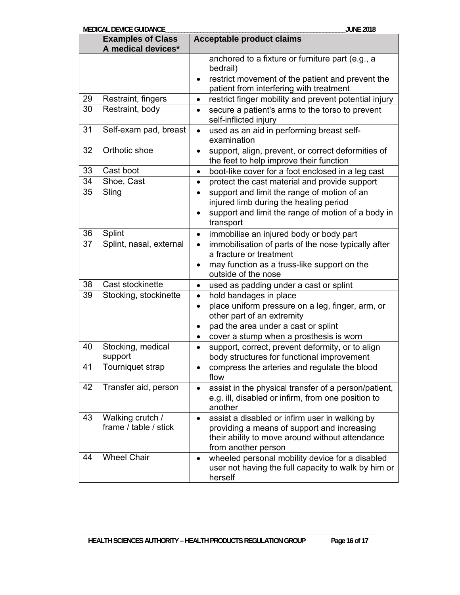| <b>MEDICAL DEVICE GUIDANCE</b><br><b>JUNE 2018</b> |                                           |                                                                                                                                                                                                                                                |  |  |
|----------------------------------------------------|-------------------------------------------|------------------------------------------------------------------------------------------------------------------------------------------------------------------------------------------------------------------------------------------------|--|--|
|                                                    | <b>Examples of Class</b>                  | <b>Acceptable product claims</b>                                                                                                                                                                                                               |  |  |
|                                                    | A medical devices*                        |                                                                                                                                                                                                                                                |  |  |
|                                                    |                                           | anchored to a fixture or furniture part (e.g., a<br>bedrail)                                                                                                                                                                                   |  |  |
|                                                    |                                           | restrict movement of the patient and prevent the<br>patient from interfering with treatment                                                                                                                                                    |  |  |
| 29                                                 | Restraint, fingers                        | restrict finger mobility and prevent potential injury<br>$\bullet$                                                                                                                                                                             |  |  |
| 30                                                 | Restraint, body                           | secure a patient's arms to the torso to prevent<br>$\bullet$<br>self-inflicted injury                                                                                                                                                          |  |  |
| 31                                                 | Self-exam pad, breast                     | used as an aid in performing breast self-<br>$\bullet$<br>examination                                                                                                                                                                          |  |  |
| 32                                                 | Orthotic shoe                             | support, align, prevent, or correct deformities of<br>$\bullet$<br>the feet to help improve their function                                                                                                                                     |  |  |
| 33                                                 | Cast boot                                 | boot-like cover for a foot enclosed in a leg cast<br>$\bullet$                                                                                                                                                                                 |  |  |
| 34                                                 | Shoe, Cast                                | protect the cast material and provide support<br>$\bullet$                                                                                                                                                                                     |  |  |
| 35                                                 | Sling                                     | support and limit the range of motion of an<br>$\bullet$<br>injured limb during the healing period<br>support and limit the range of motion of a body in<br>$\bullet$<br>transport                                                             |  |  |
| 36                                                 | Splint                                    | immobilise an injured body or body part<br>$\bullet$                                                                                                                                                                                           |  |  |
| 37                                                 | Splint, nasal, external                   | immobilisation of parts of the nose typically after<br>$\bullet$<br>a fracture or treatment<br>may function as a truss-like support on the<br>$\bullet$<br>outside of the nose                                                                 |  |  |
| 38                                                 | Cast stockinette                          | used as padding under a cast or splint<br>$\bullet$                                                                                                                                                                                            |  |  |
| 39                                                 | Stocking, stockinette                     | hold bandages in place<br>$\bullet$<br>place uniform pressure on a leg, finger, arm, or<br>$\bullet$<br>other part of an extremity<br>pad the area under a cast or splint<br>$\bullet$<br>cover a stump when a prosthesis is worn<br>$\bullet$ |  |  |
| 40                                                 | Stocking, medical<br>support              | support, correct, prevent deformity, or to align<br>$\bullet$<br>body structures for functional improvement                                                                                                                                    |  |  |
| 41                                                 | Tourniquet strap                          | compress the arteries and regulate the blood<br>flow                                                                                                                                                                                           |  |  |
| 42                                                 | Transfer aid, person                      | assist in the physical transfer of a person/patient,<br>$\bullet$<br>e.g. ill, disabled or infirm, from one position to<br>another                                                                                                             |  |  |
| 43                                                 | Walking crutch /<br>frame / table / stick | assist a disabled or infirm user in walking by<br>$\bullet$<br>providing a means of support and increasing<br>their ability to move around without attendance<br>from another person                                                           |  |  |
| 44                                                 | <b>Wheel Chair</b>                        | wheeled personal mobility device for a disabled<br>$\bullet$<br>user not having the full capacity to walk by him or<br>herself                                                                                                                 |  |  |